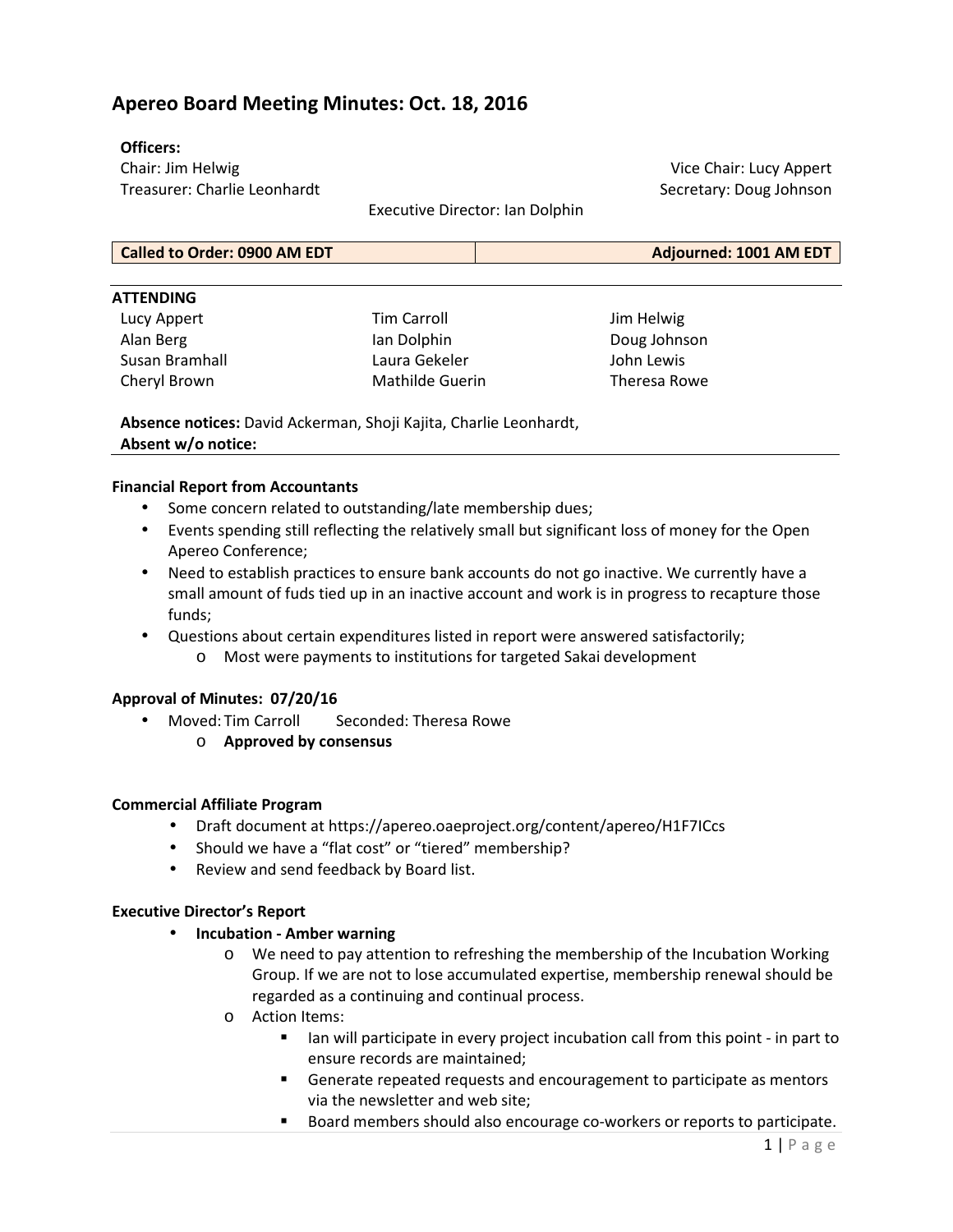# **Apereo Board Meeting Minutes: Oct. 18, 2016**

### **Officers:**

Chair: Jim Helwig Treasurer: Charlie Leonhardt

Vice Chair: Lucy Appert Secretary: Doug Johnson

Executive Director: Ian Dolphin

| <b>Called to Order: 0900 AM EDT</b><br>Adjourned: 1001 AM EDT |
|---------------------------------------------------------------|
|---------------------------------------------------------------|

#### **ATTENDING**

Lucy Appert Alan Berg Susan Bramhall Cheryl Brown

Tim Carroll Ian Dolphin Laura Gekeler Mathilde Guerin

Jim Helwig Doug Johnson John Lewis Theresa Rowe

**Absence notices:** David Ackerman, Shoji Kajita, Charlie Leonhardt, **Absent w/o notice:**

#### **Financial Report from Accountants**

- Some concern related to outstanding/late membership dues;
- Events spending still reflecting the relatively small but significant loss of money for the Open Apereo Conference;
- Need to establish practices to ensure bank accounts do not go inactive. We currently have a small amount of fuds tied up in an inactive account and work is in progress to recapture those funds;
- Questions about certain expenditures listed in report were answered satisfactorily;
	- o Most were payments to institutions for targeted Sakai development

### **Approval of Minutes: 07/20/16**

- Moved: Tim Carroll Seconded: Theresa Rowe
	- o **Approved by consensus**

### **Commercial Affiliate Program**

- Draft document at https://apereo.oaeproject.org/content/apereo/H1F7ICcs
- Should we have a "flat cost" or "tiered" membership?
- Review and send feedback by Board list.

### **Executive Director's Report**

- **Incubation Amber warning**
	- o We need to pay attention to refreshing the membership of the Incubation Working Group. If we are not to lose accumulated expertise, membership renewal should be regarded as a continuing and continual process.
	- o Action Items:
		- Ich in will participate in every project incubation call from this point in part to ensure records are maintained;
		- Generate repeated requests and encouragement to participate as mentors via the newsletter and web site;
		- Board members should also encourage co-workers or reports to participate.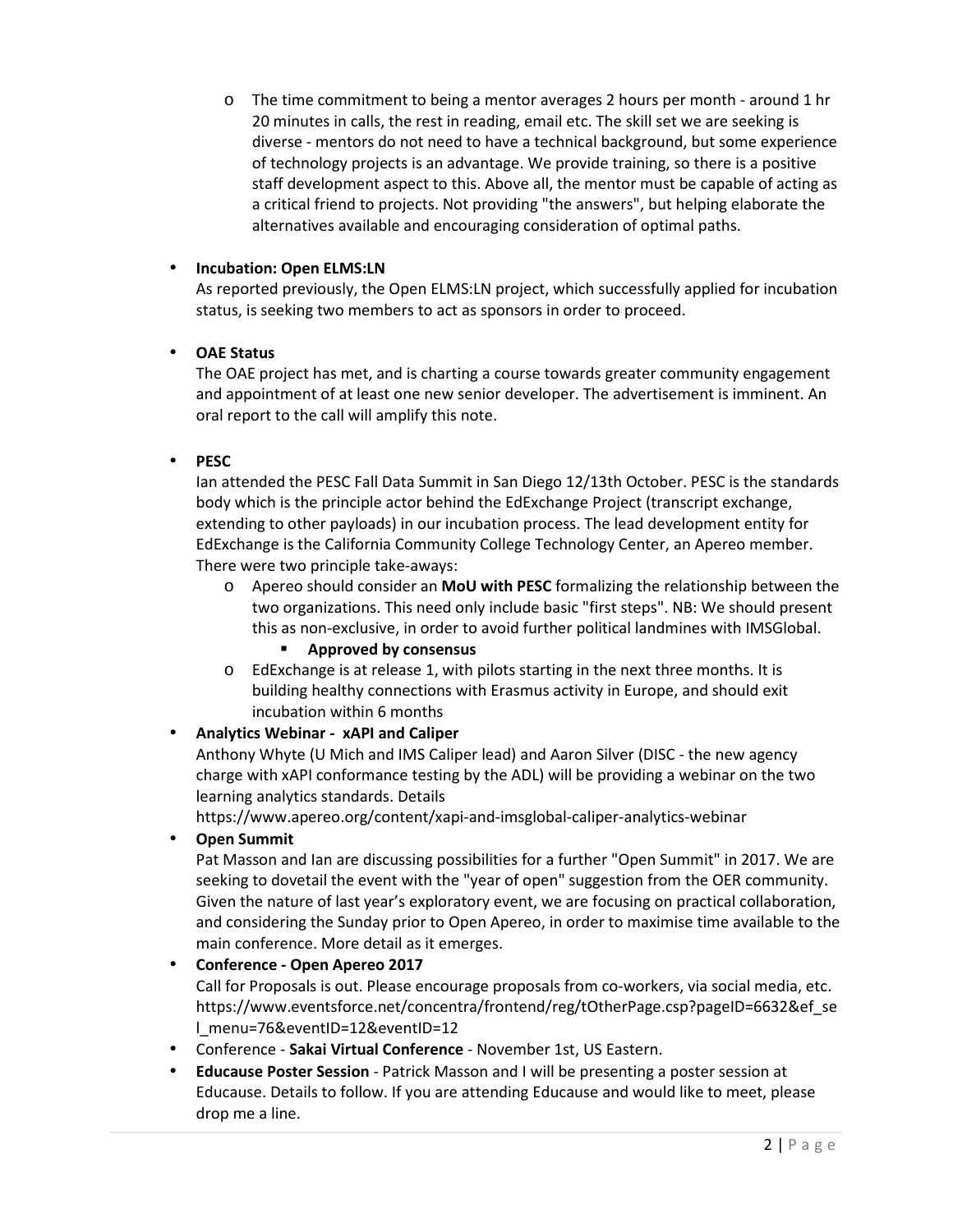o The time commitment to being a mentor averages 2 hours per month - around 1 hr 20 minutes in calls, the rest in reading, email etc. The skill set we are seeking is diverse - mentors do not need to have a technical background, but some experience of technology projects is an advantage. We provide training, so there is a positive staff development aspect to this. Above all, the mentor must be capable of acting as a critical friend to projects. Not providing "the answers", but helping elaborate the alternatives available and encouraging consideration of optimal paths.

## • **Incubation: Open ELMS:LN**

As reported previously, the Open ELMS:LN project, which successfully applied for incubation status, is seeking two members to act as sponsors in order to proceed.

## • **OAE Status**

The OAE project has met, and is charting a course towards greater community engagement and appointment of at least one new senior developer. The advertisement is imminent. An oral report to the call will amplify this note.

## • **PESC**

Ian attended the PESC Fall Data Summit in San Diego 12/13th October. PESC is the standards body which is the principle actor behind the EdExchange Project (transcript exchange, extending to other payloads) in our incubation process. The lead development entity for EdExchange is the California Community College Technology Center, an Apereo member. There were two principle take-aways:

- o Apereo should consider an **MoU with PESC** formalizing the relationship between the two organizations. This need only include basic "first steps". NB: We should present this as non-exclusive, in order to avoid further political landmines with IMSGlobal.
	- **Approved by consensus**
- o EdExchange is at release 1, with pilots starting in the next three months. It is building healthy connections with Erasmus activity in Europe, and should exit incubation within 6 months

## • **Analytics Webinar - xAPI and Caliper**

Anthony Whyte (U Mich and IMS Caliper lead) and Aaron Silver (DISC - the new agency charge with xAPI conformance testing by the ADL) will be providing a webinar on the two learning analytics standards. Details

https://www.apereo.org/content/xapi-and-imsglobal-caliper-analytics-webinar

## • **Open Summit**

Pat Masson and Ian are discussing possibilities for a further "Open Summit" in 2017. We are seeking to dovetail the event with the "year of open" suggestion from the OER community. Given the nature of last year's exploratory event, we are focusing on practical collaboration, and considering the Sunday prior to Open Apereo, in order to maximise time available to the main conference. More detail as it emerges.

## • **Conference - Open Apereo 2017**

Call for Proposals is out. Please encourage proposals from co-workers, via social media, etc. https://www.eventsforce.net/concentra/frontend/reg/tOtherPage.csp?pageID=6632&ef\_se l\_menu=76&eventID=12&eventID=12

- Conference **Sakai Virtual Conference** November 1st, US Eastern.
- **Educause Poster Session** Patrick Masson and I will be presenting a poster session at Educause. Details to follow. If you are attending Educause and would like to meet, please drop me a line.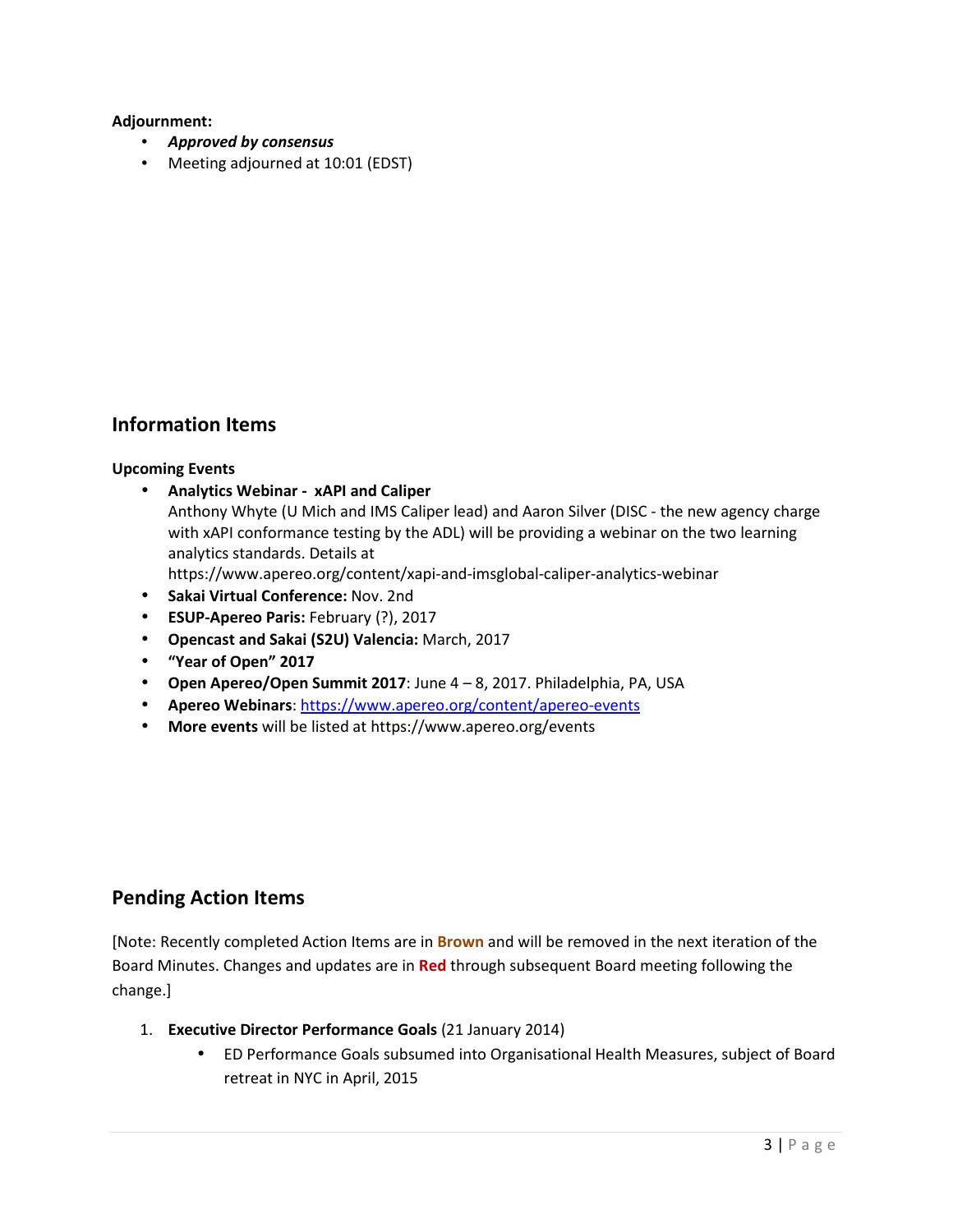### **Adjournment:**

- *Approved by consensus*
- Meeting adjourned at 10:01 (EDST)

# **Information Items**

### **Upcoming Events**

- **Analytics Webinar xAPI and Caliper**
	- Anthony Whyte (U Mich and IMS Caliper lead) and Aaron Silver (DISC the new agency charge with xAPI conformance testing by the ADL) will be providing a webinar on the two learning analytics standards. Details at
	- https://www.apereo.org/content/xapi-and-imsglobal-caliper-analytics-webinar
- **Sakai Virtual Conference:** Nov. 2nd
- **ESUP-Apereo Paris:** February (?), 2017
- **Opencast and Sakai (S2U) Valencia:** March, 2017
- **"Year of Open" 2017**
- **Open Apereo/Open Summit 2017**: June 4 8, 2017. Philadelphia, PA, USA
- **Apereo Webinars**: https://www.apereo.org/content/apereo-events
- **More events** will be listed at https://www.apereo.org/events

# **Pending Action Items**

[Note: Recently completed Action Items are in **Brown** and will be removed in the next iteration of the Board Minutes. Changes and updates are in **Red** through subsequent Board meeting following the change.]

- 1. **Executive Director Performance Goals** (21 January 2014)
	- ED Performance Goals subsumed into Organisational Health Measures, subject of Board retreat in NYC in April, 2015